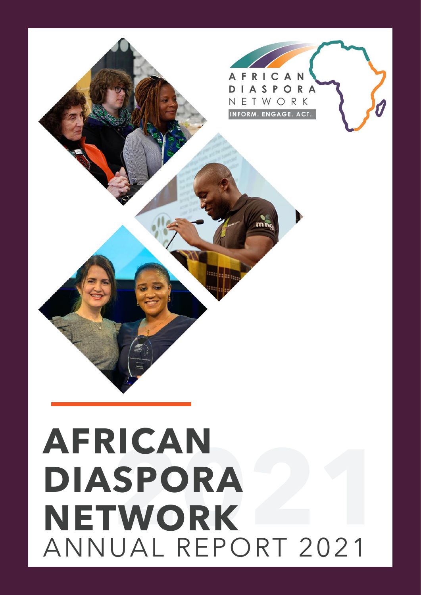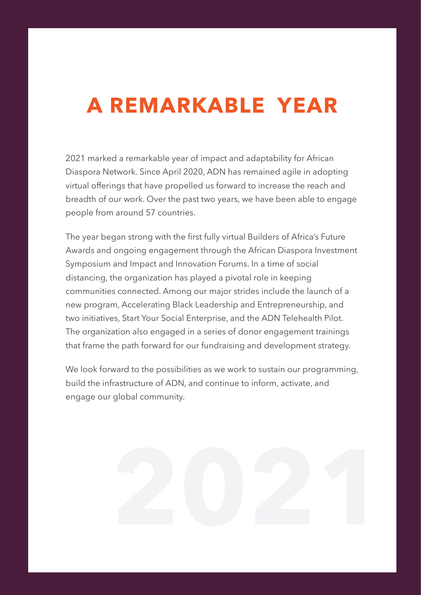# **A REMARKABLE YEAR**

2021 marked a remarkable year of impact and adaptability for African Diaspora Network. Since April 2020, ADN has remained agile in adopting virtual offerings that have propelled us forward to increase the reach and breadth of our work. Over the past two years, we have been able to engage people from around 57 countries.

The year began strong with the first fully virtual Builders of Africa's Future Awards and ongoing engagement through the African Diaspora Investment Symposium and Impact and Innovation Forums. In a time of social distancing, the organization has played a pivotal role in keeping communities connected. Among our major strides include the launch of a new program, Accelerating Black Leadership and Entrepreneurship, and two initiatives, Start Your Social Enterprise, and the ADN Telehealth Pilot. The organization also engaged in a series of donor engagement trainings that frame the path forward for our fundraising and development strategy.

We look forward to the possibilities as we work to sustain our programming, build the infrastructure of ADN, and continue to inform, activate, and engage our global community.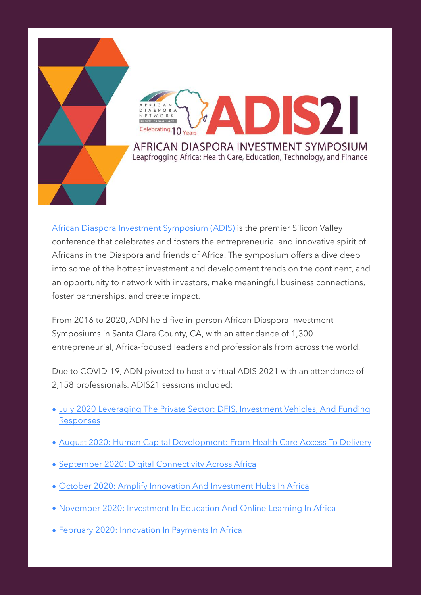



[African Diaspora Investment Symposium \(ADIS\)](https://africandiasporanetwork.org/what-is-adis/) is the premier Silicon Valley conference that celebrates and fosters the entrepreneurial and innovative spirit of Africans in the Diaspora and friends of Africa. The symposium offers a dive deep into some of the hottest investment and development trends on the continent, and an opportunity to network with investors, make meaningful business connections, foster partnerships, and create impact.

From 2016 to 2020, ADN held five in-person African Diaspora Investment Symposiums in Santa Clara County, CA, with an attendance of 1,300 entrepreneurial, Africa-focused leaders and professionals from across the world.

Due to COVID-19, ADN pivoted to host a virtual ADIS 2021 with an attendance of 2,158 professionals. ADIS21 sessions included:

- [July 2020 Leveraging The Private Sector: DFIS, Investment Vehicles, And Funding](https://africandiasporanetwork.org/adis21-july-29-2020/)  [Responses](https://africandiasporanetwork.org/adis21-july-29-2020/)
- [August 2020: Human Capital Development: From Health Care Access To Delivery](https://africandiasporanetwork.org/adis21-august-26-2020/)
- [September 2020: Digital Connectivity Across Africa](https://africandiasporanetwork.org/adis21-september-23-2020/)
- [October 2020: Amplify Innovation And Investment Hubs In Africa](https://africandiasporanetwork.org/adis21-october-28-2020/)
- [November 2020: Investment In Education And Online Learning In Africa](https://africandiasporanetwork.org/adis21-november-18-2020/)
- [February 2020: Innovation In Payments In Africa](https://africandiasporanetwork.org/adis21-february-17-2021/)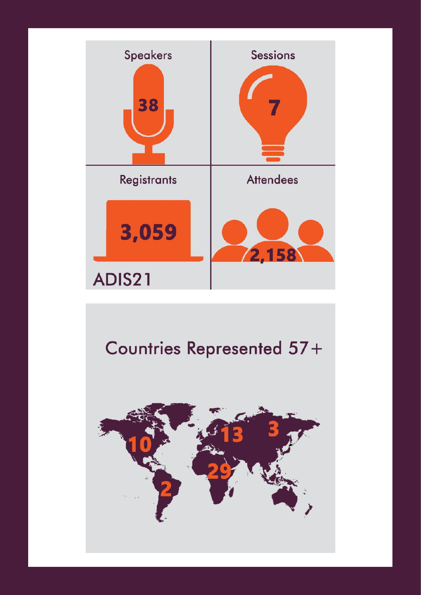

# Countries Represented 57+

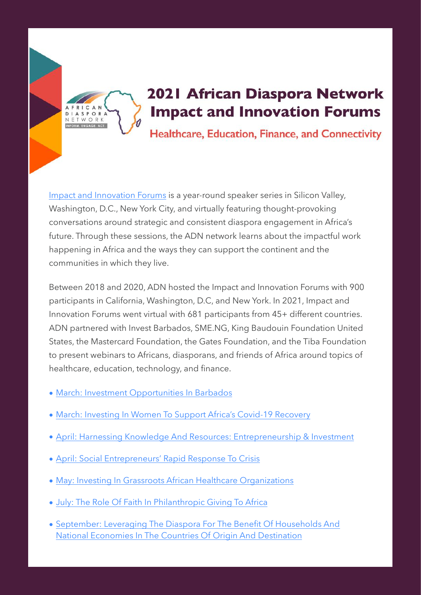

### 2021 African Diaspora Network **Impact and Innovation Forums**

Healthcare, Education, Finance, and Connectivity

[Impact and Innovation Forums](https://africandiasporanetwork.org/impact-and-innovation-forums-2021/) is a year-round speaker series in Silicon Valley, Washington, D.C., New York City, and virtually featuring thought-provoking conversations around strategic and consistent diaspora engagement in Africa's future. Through these sessions, the ADN network learns about the impactful work happening in Africa and the ways they can support the continent and the communities in which they live.

Between 2018 and 2020, ADN hosted the Impact and Innovation Forums with 900 participants in California, Washington, D.C, and New York. In 2021, Impact and Innovation Forums went virtual with 681 participants from 45+ different countries. ADN partnered with Invest Barbados, SME.NG, King Baudouin Foundation United States, the Mastercard Foundation, the Gates Foundation, and the Tiba Foundation to present webinars to Africans, diasporans, and friends of Africa around topics of healthcare, education, technology, and finance.

- [March: Investment Opportunities In Barbados](https://africandiasporanetwork.org/impact-and-innovation-forums-investment-opportunities-in-barbados/)
- [March: Investing In Women To Support Africa's Covid-19 Recovery](https://africandiasporanetwork.org/investing-in-women-to-support-africas-covid-19-recovery/)
- [April: Harnessing Knowledge And Resources: Entrepreneurship & Investment](https://africandiasporanetwork.org/harnessing-knowledge-and-resources-entrepreneurship-investment/)
- [April: Social Entrepreneurs' Rapid Response To Crisis](https://africandiasporanetwork.org/social-entrepreneurs-rapid-response-to-crisis/)
- [May: Investing In Grassroots African Healthcare Organizations](https://africandiasporanetwork.org/investing-in-grassroots-african-healthcare-organizations/)
- [July: The Role Of Faith In Philanthropic Giving To Africa](https://africandiasporanetwork.org/the-role-of-faith-in-philanthropic-giving-to-africa/)
- [September: Leveraging The Diaspora For The Benefit Of Households And](https://africandiasporanetwork.org/united-nations-general-assembly-side-event/)  [National Economies In The Countries Of Origin And Destination](https://africandiasporanetwork.org/united-nations-general-assembly-side-event/)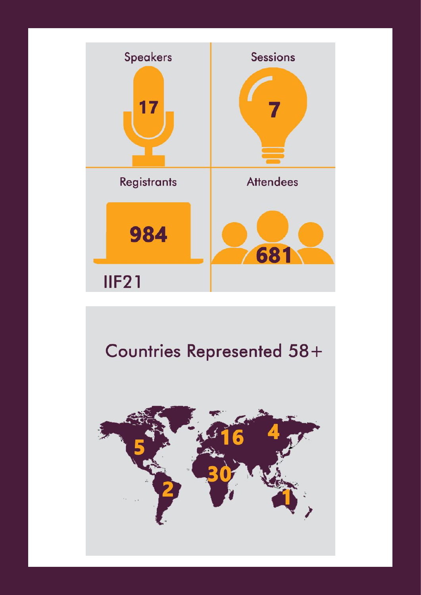

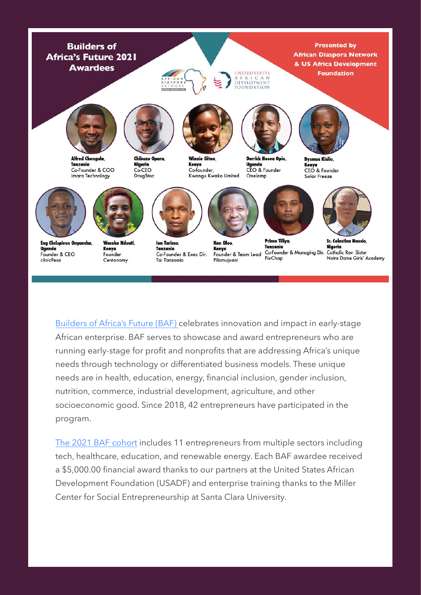

Eng Chrispinus Onyancha, Uganda Founder & CEO clinicPesa

**Waceke Nduati** Kenva Founder Centonomy

lan Tarimo Tanzania Co-Founder & Exec Dir. **Tai Tanzania** 

Ken Oloo Kenya Founder & Team Lead Filamujuani

**Prince Tillya** Tanzania Co-Founder & Managing Dir. Catholic Rev. Sister FixChap

**Sr. Celesting Nwodo** Niaeria Notre Dame Girls' Academy

[Builders of Africa's Future \(BAF\) c](https://africandiasporanetwork.org/builders-of-africas-future/)elebrates innovation and impact in early-stage African enterprise. BAF serves to showcase and award entrepreneurs who are running early-stage for profit and nonprofits that are addressing Africa's unique needs through technology or differentiated business models. These unique needs are in health, education, energy, financial inclusion, gender inclusion, nutrition, commerce, industrial development, agriculture, and other socioeconomic good. Since 2018, 42 entrepreneurs have participated in the program.

[The 2021 BAF cohort](https://africandiasporanetwork.org/builders-of-africas-future-current/) includes 11 entrepreneurs from multiple sectors including tech, healthcare, education, and renewable energy. Each BAF awardee received a \$5,000.00 financial award thanks to our partners at the United States African Development Foundation (USADF) and enterprise training thanks to the Miller Center for Social Entrepreneurship at Santa Clara University.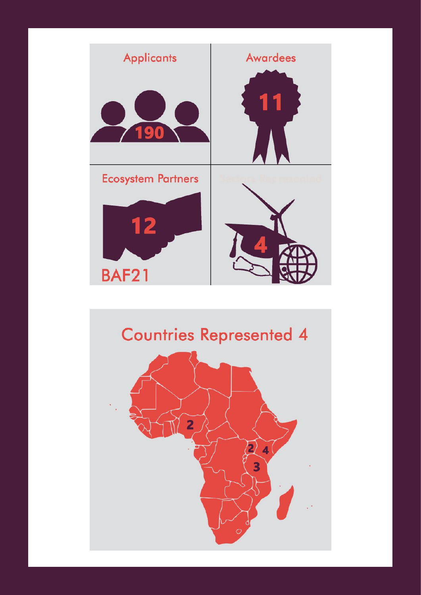

### **Countries Represented 4**

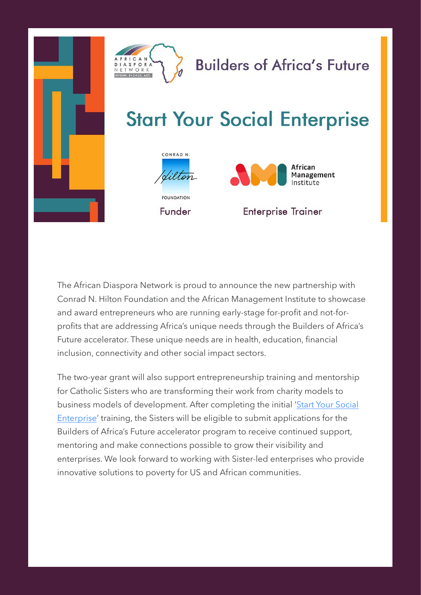

### **Builders of Africa's Future**

## **Start Your Social Enterprise**





#### **Enterprise Trainer**

The African Diaspora Network is proud to announce the new partnership with Conrad N. Hilton Foundation and the African Management Institute to showcase and award entrepreneurs who are running early-stage for-profit and not-forprofits that are addressing Africa's unique needs through the Builders of Africa's Future accelerator. These unique needs are in health, education, financial inclusion, connectivity and other social impact sectors.

The two-year grant will also support entrepreneurship training and mentorship for Catholic Sisters who are transforming their work from charity models to business models of development. After completing the initial 'Start Your Social [Enterprise](https://africandiasporanetwork.org/sisters-social-enterprises-2021/)' training, the Sisters will be eligible to submit applications for the Builders of Africa's Future accelerator program to receive continued support, mentoring and make connections possible to grow their visibility and enterprises. We look forward to working with Sister-led enterprises who provide innovative solutions to poverty for US and African communities.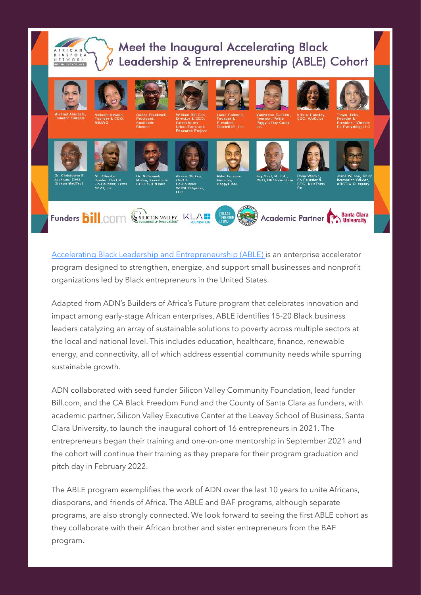#### Meet the Inaugural Accelerating Black Leadership & Entrepreneurship (ABLE) Cohort  $\overline{a}$



[Accelerating Black Leadership and Entrepreneurship \(ABLE\)](https://africandiasporanetwork.org/able/) is an enterprise accelerator program designed to strengthen, energize, and support small businesses and nonprofit organizations led by Black entrepreneurs in the United States.

Funders **bill** com

Adapted from ADN's Builders of Africa's Future program that celebrates innovation and impact among early-stage African enterprises, ABLE identifies 15-20 Black business leaders catalyzing an array of sustainable solutions to poverty across multiple sectors at the local and national level. This includes education, healthcare, finance, renewable energy, and connectivity, all of which address essential community needs while spurring sustainable growth.

ADN collaborated with seed funder Silicon Valley Community Foundation, lead funder Bill.com, and the CA Black Freedom Fund and the County of Santa Clara as funders, with academic partner, Silicon Valley Executive Center at the Leavey School of Business, Santa Clara University, to launch the inaugural cohort of 16 entrepreneurs in 2021. The entrepreneurs began their training and one-on-one mentorship in September 2021 and the cohort will continue their training as they prepare for their program graduation and pitch day in February 2022.

The ABLE program exemplifies the work of ADN over the last 10 years to unite Africans, diasporans, and friends of Africa. The ABLE and BAF programs, although separate programs, are also strongly connected. We look forward to seeing the first ABLE cohort as they collaborate with their African brother and sister entrepreneurs from the BAF program.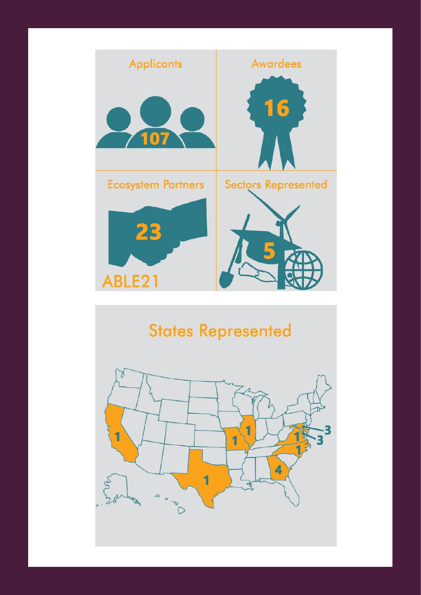

## **States Represented**

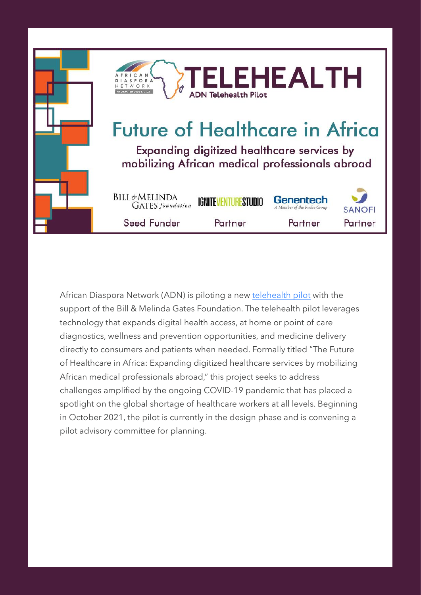

African Diaspora Network (ADN) is piloting a new [telehealth pilot](https://africandiasporanetwork.org/telehealth-pilot/) with the support of the Bill & Melinda Gates Foundation. The telehealth pilot leverages technology that expands digital health access, at home or point of care diagnostics, wellness and prevention opportunities, and medicine delivery directly to consumers and patients when needed. Formally titled "The Future of Healthcare in Africa: Expanding digitized healthcare services by mobilizing African medical professionals abroad," this project seeks to address challenges amplified by the ongoing COVID-19 pandemic that has placed a spotlight on the global shortage of healthcare workers at all levels. Beginning in October 2021, the pilot is currently in the design phase and is convening a pilot advisory committee for planning.